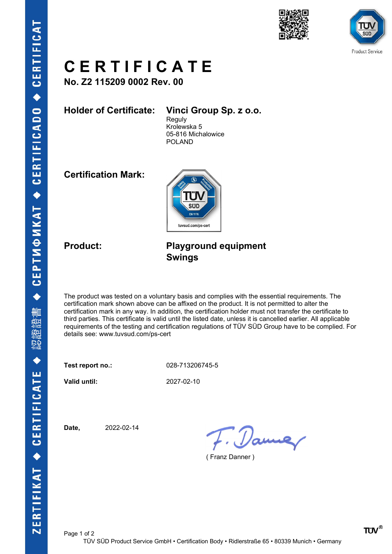



## C E R T I F I C A T E

No. Z2 115209 0002 Rev. 00

Holder of Certificate: Vinci Group Sp. z o.o.

Reguly Krolewska 5 05-816 Michalowice POLAND

Certification Mark:



### Product: Playground equipment Swings

The product was tested on a voluntary basis and complies with the essential requirements. The certification mark shown above can be affixed on the product. It is not permitted to alter the certification mark in any way. In addition, the certification holder must not transfer the certificate to third parties. This certificate is valid until the listed date, unless it is cancelled earlier. All applicable requirements of the testing and certification regulations of TÜV SÜD Group have to be complied. For details see: www.tuvsud.com/ps-cert

Test report no.: 028-713206745-5

Valid until: 2027-02-10

Date, 2022-02-14

F. Dame

( Franz Danner )